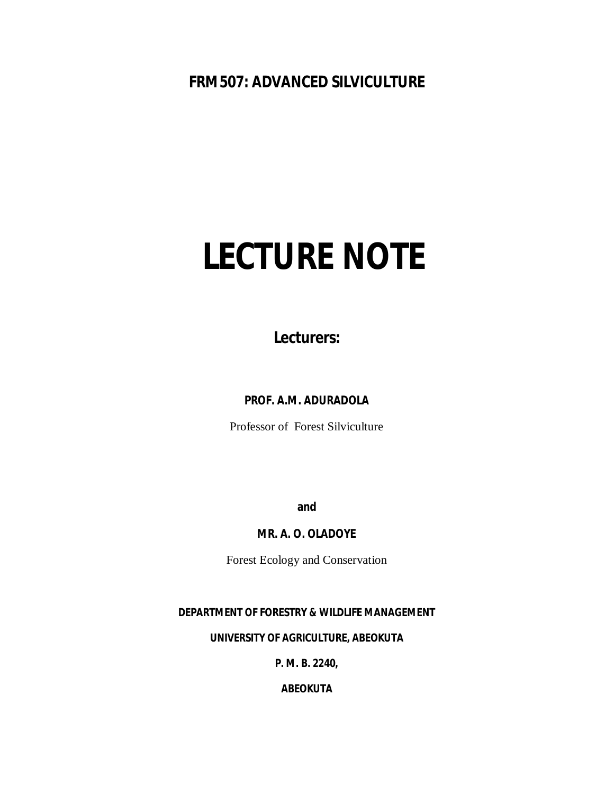# **FRM507: ADVANCED SILVICULTURE**

# **LECTURE NOTE**

**Lecturers:**

**PROF. A.M. ADURADOLA**

Professor of Forest Silviculture

**and**

**MR. A. O. OLADOYE**

Forest Ecology and Conservation

# **DEPARTMENT OF FORESTRY & WILDLIFE MANAGEMENT**

**UNIVERSITY OF AGRICULTURE, ABEOKUTA**

**P. M. B. 2240,**

**ABEOKUTA**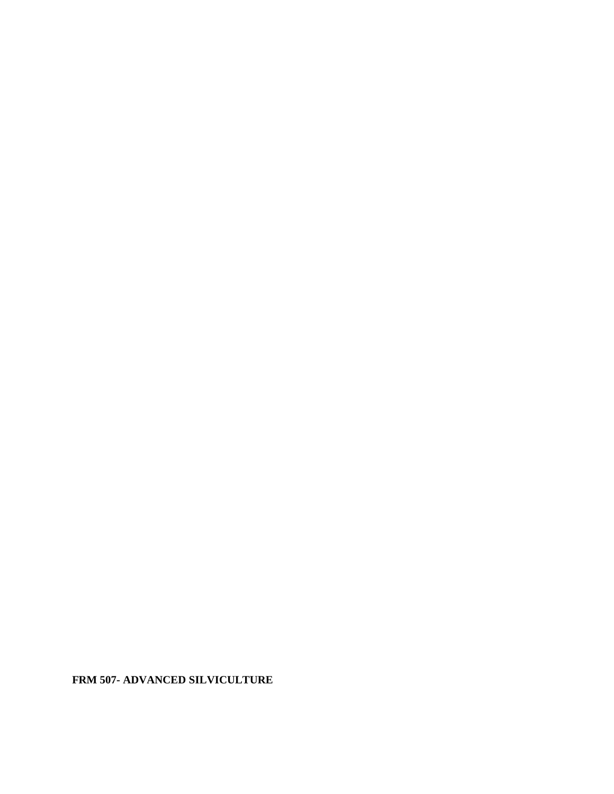**FRM 507- ADVANCED SILVICULTURE**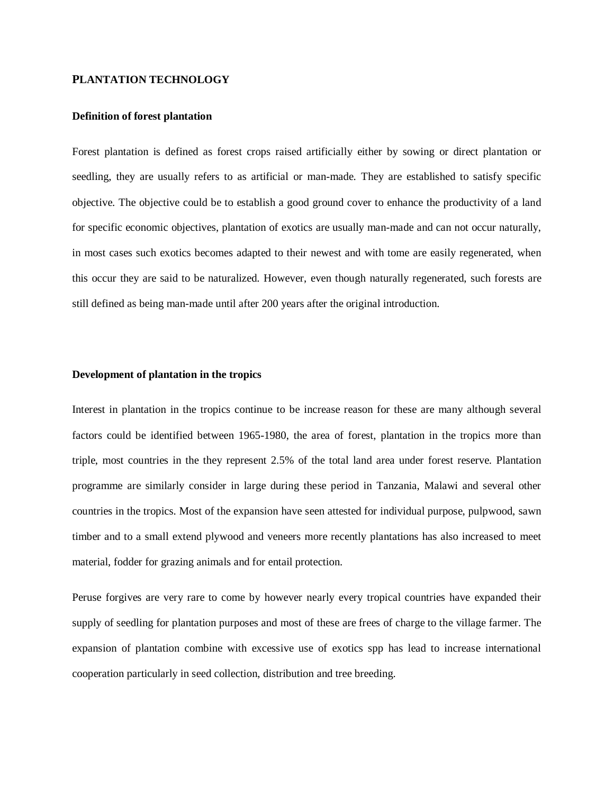#### **PLANTATION TECHNOLOGY**

#### **Definition of forest plantation**

Forest plantation is defined as forest crops raised artificially either by sowing or direct plantation or seedling, they are usually refers to as artificial or man-made. They are established to satisfy specific objective. The objective could be to establish a good ground cover to enhance the productivity of a land for specific economic objectives, plantation of exotics are usually man-made and can not occur naturally, in most cases such exotics becomes adapted to their newest and with tome are easily regenerated, when this occur they are said to be naturalized. However, even though naturally regenerated, such forests are still defined as being man-made until after 200 years after the original introduction.

# **Development of plantation in the tropics**

Interest in plantation in the tropics continue to be increase reason for these are many although several factors could be identified between 1965-1980, the area of forest, plantation in the tropics more than triple, most countries in the they represent 2.5% of the total land area under forest reserve. Plantation programme are similarly consider in large during these period in Tanzania, Malawi and several other countries in the tropics. Most of the expansion have seen attested for individual purpose, pulpwood, sawn timber and to a small extend plywood and veneers more recently plantations has also increased to meet material, fodder for grazing animals and for entail protection.

Peruse forgives are very rare to come by however nearly every tropical countries have expanded their supply of seedling for plantation purposes and most of these are frees of charge to the village farmer. The expansion of plantation combine with excessive use of exotics spp has lead to increase international cooperation particularly in seed collection, distribution and tree breeding.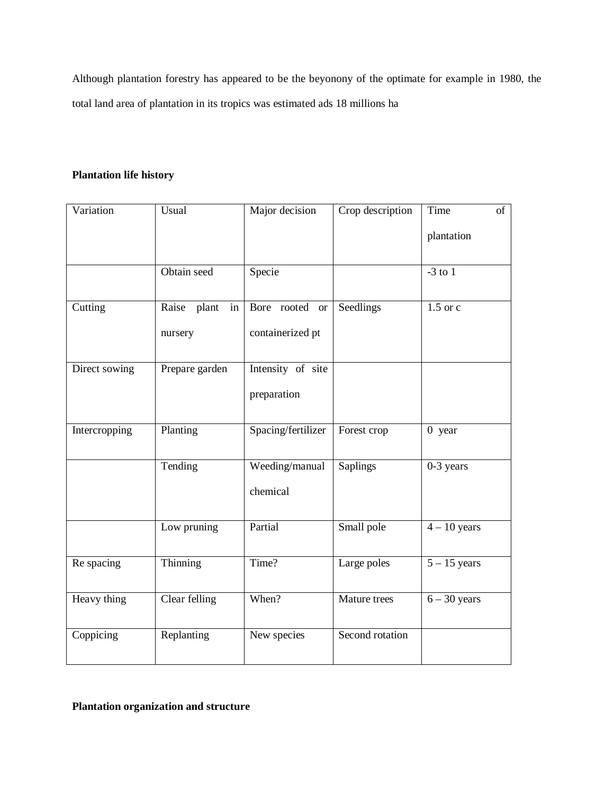Although plantation forestry has appeared to be the beyonony of the optimate for example in 1980, the total land area of plantation in its tropics was estimated ads 18 millions ha

# **Plantation life history**

| Variation     | Usual             | Major decision     | Crop description | Time<br>of              |
|---------------|-------------------|--------------------|------------------|-------------------------|
|               |                   |                    |                  | plantation              |
|               |                   |                    |                  |                         |
|               | Obtain seed       | Specie             |                  | $-3$ to $\overline{1}$  |
|               |                   |                    |                  |                         |
| Cutting       | Raise plant<br>in | Bore rooted or     | Seedlings        | $1.5$ or c              |
|               | nursery           | containerized pt   |                  |                         |
|               |                   |                    |                  |                         |
| Direct sowing | Prepare garden    | Intensity of site  |                  |                         |
|               |                   | preparation        |                  |                         |
|               |                   |                    |                  |                         |
| Intercropping | Planting          | Spacing/fertilizer | Forest crop      | $0$ year                |
|               | Tending           | Weeding/manual     | Saplings         | $\overline{0}$ -3 years |
|               |                   |                    |                  |                         |
|               |                   | chemical           |                  |                         |
|               | Low pruning       | Partial            | Small pole       | $4 - 10$ years          |
|               |                   |                    |                  |                         |
| Re spacing    | Thinning          | Time?              | Large poles      | $5 - 15$ years          |
|               |                   |                    |                  |                         |
| Heavy thing   | Clear felling     | When?              | Mature trees     | $6 - 30$ years          |
|               |                   |                    |                  |                         |
| Coppicing     | Replanting        | New species        | Second rotation  |                         |
|               |                   |                    |                  |                         |

**Plantation organization and structure**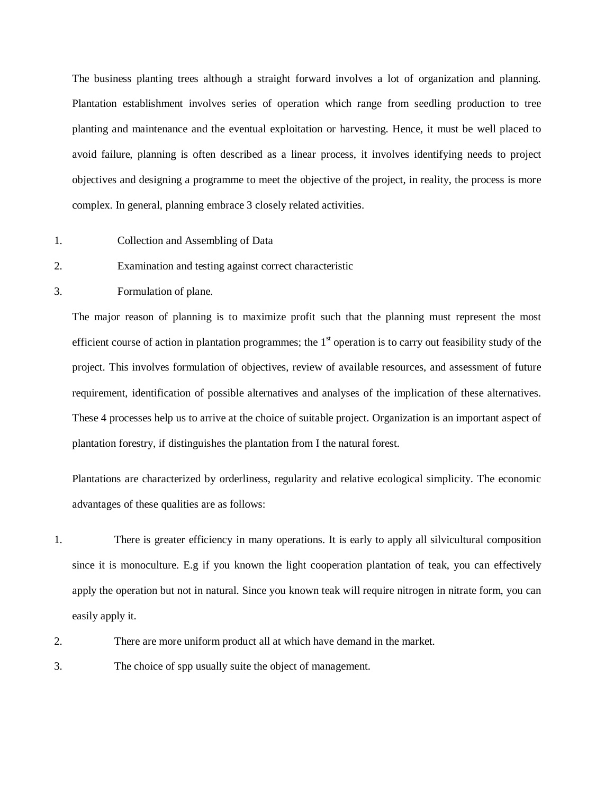The business planting trees although a straight forward involves a lot of organization and planning. Plantation establishment involves series of operation which range from seedling production to tree planting and maintenance and the eventual exploitation or harvesting. Hence, it must be well placed to avoid failure, planning is often described as a linear process, it involves identifying needs to project objectives and designing a programme to meet the objective of the project, in reality, the process is more complex. In general, planning embrace 3 closely related activities.

- 1. Collection and Assembling of Data
- 2. Examination and testing against correct characteristic
- 3. Formulation of plane.

The major reason of planning is to maximize profit such that the planning must represent the most efficient course of action in plantation programmes; the  $1<sup>st</sup>$  operation is to carry out feasibility study of the project. This involves formulation of objectives, review of available resources, and assessment of future requirement, identification of possible alternatives and analyses of the implication of these alternatives. These 4 processes help us to arrive at the choice of suitable project. Organization is an important aspect of plantation forestry, if distinguishes the plantation from I the natural forest.

Plantations are characterized by orderliness, regularity and relative ecological simplicity. The economic advantages of these qualities are as follows:

- 1. There is greater efficiency in many operations. It is early to apply all silvicultural composition since it is monoculture. E.g if you known the light cooperation plantation of teak, you can effectively apply the operation but not in natural. Since you known teak will require nitrogen in nitrate form, you can easily apply it.
- 2. There are more uniform product all at which have demand in the market.
- 3. The choice of spp usually suite the object of management.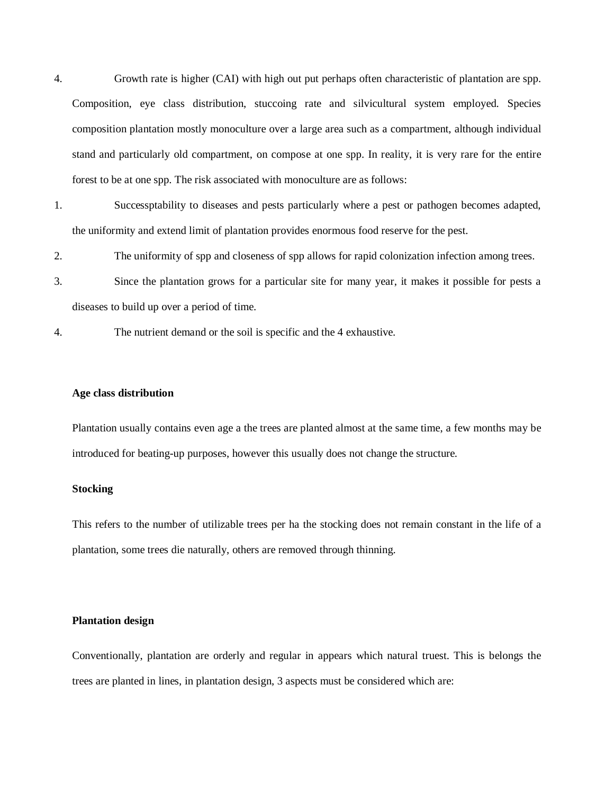4. Growth rate is higher (CAI) with high out put perhaps often characteristic of plantation are spp. Composition, eye class distribution, stuccoing rate and silvicultural system employed. Species composition plantation mostly monoculture over a large area such as a compartment, although individual stand and particularly old compartment, on compose at one spp. In reality, it is very rare for the entire forest to be at one spp. The risk associated with monoculture are as follows:

- 1. Successptability to diseases and pests particularly where a pest or pathogen becomes adapted, the uniformity and extend limit of plantation provides enormous food reserve for the pest.
- 2. The uniformity of spp and closeness of spp allows for rapid colonization infection among trees.
- 3. Since the plantation grows for a particular site for many year, it makes it possible for pests a diseases to build up over a period of time.
- 4. The nutrient demand or the soil is specific and the 4 exhaustive.

# **Age class distribution**

Plantation usually contains even age a the trees are planted almost at the same time, a few months may be introduced for beating-up purposes, however this usually does not change the structure.

#### **Stocking**

This refers to the number of utilizable trees per ha the stocking does not remain constant in the life of a plantation, some trees die naturally, others are removed through thinning.

# **Plantation design**

Conventionally, plantation are orderly and regular in appears which natural truest. This is belongs the trees are planted in lines, in plantation design, 3 aspects must be considered which are: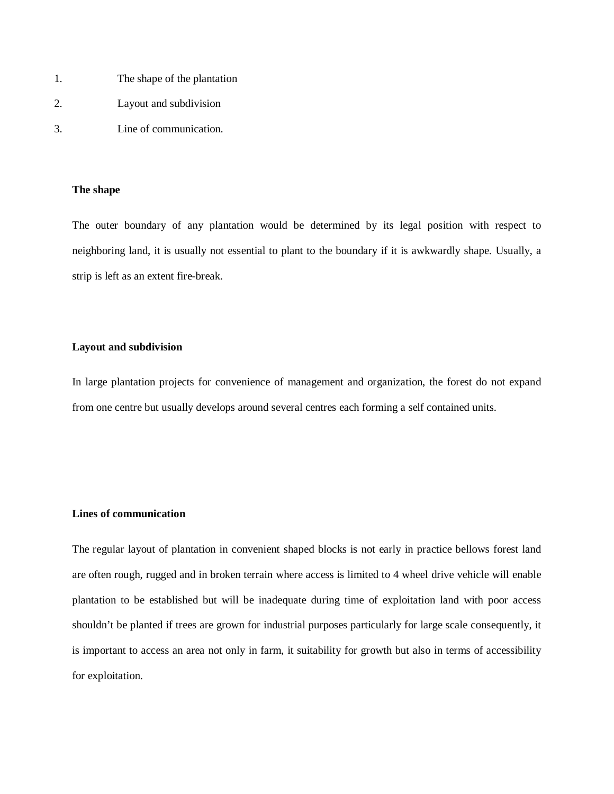- 1. The shape of the plantation
- 2. Layout and subdivision
- 3. Line of communication.

#### **The shape**

The outer boundary of any plantation would be determined by its legal position with respect to neighboring land, it is usually not essential to plant to the boundary if it is awkwardly shape. Usually, a strip is left as an extent fire-break.

# **Layout and subdivision**

In large plantation projects for convenience of management and organization, the forest do not expand from one centre but usually develops around several centres each forming a self contained units.

# **Lines of communication**

The regular layout of plantation in convenient shaped blocks is not early in practice bellows forest land are often rough, rugged and in broken terrain where access is limited to 4 wheel drive vehicle will enable plantation to be established but will be inadequate during time of exploitation land with poor access shouldn't be planted if trees are grown for industrial purposes particularly for large scale consequently, it is important to access an area not only in farm, it suitability for growth but also in terms of accessibility for exploitation.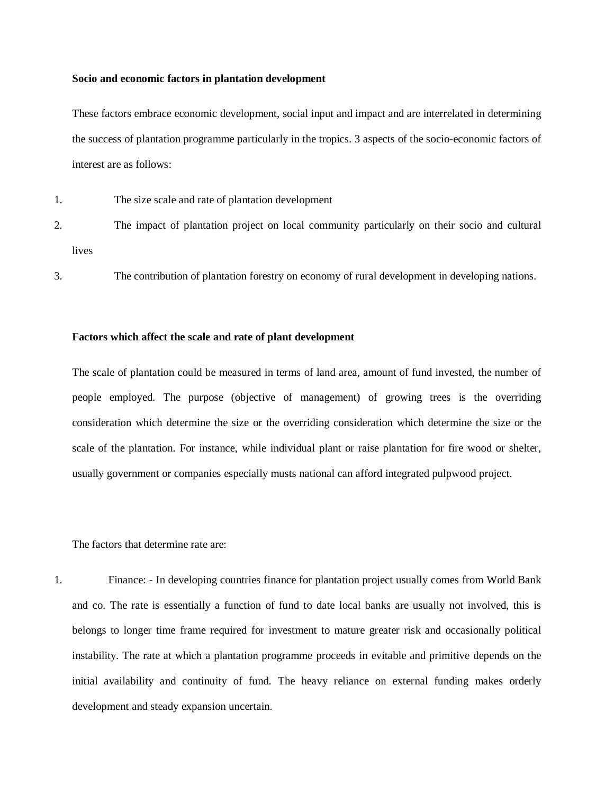#### **Socio and economic factors in plantation development**

These factors embrace economic development, social input and impact and are interrelated in determining the success of plantation programme particularly in the tropics. 3 aspects of the socio-economic factors of interest are as follows:

- 1. The size scale and rate of plantation development
- 2. The impact of plantation project on local community particularly on their socio and cultural lives
- 3. The contribution of plantation forestry on economy of rural development in developing nations.

# **Factors which affect the scale and rate of plant development**

The scale of plantation could be measured in terms of land area, amount of fund invested, the number of people employed. The purpose (objective of management) of growing trees is the overriding consideration which determine the size or the overriding consideration which determine the size or the scale of the plantation. For instance, while individual plant or raise plantation for fire wood or shelter, usually government or companies especially musts national can afford integrated pulpwood project.

The factors that determine rate are:

1. Finance: - In developing countries finance for plantation project usually comes from World Bank and co. The rate is essentially a function of fund to date local banks are usually not involved, this is belongs to longer time frame required for investment to mature greater risk and occasionally political instability. The rate at which a plantation programme proceeds in evitable and primitive depends on the initial availability and continuity of fund. The heavy reliance on external funding makes orderly development and steady expansion uncertain.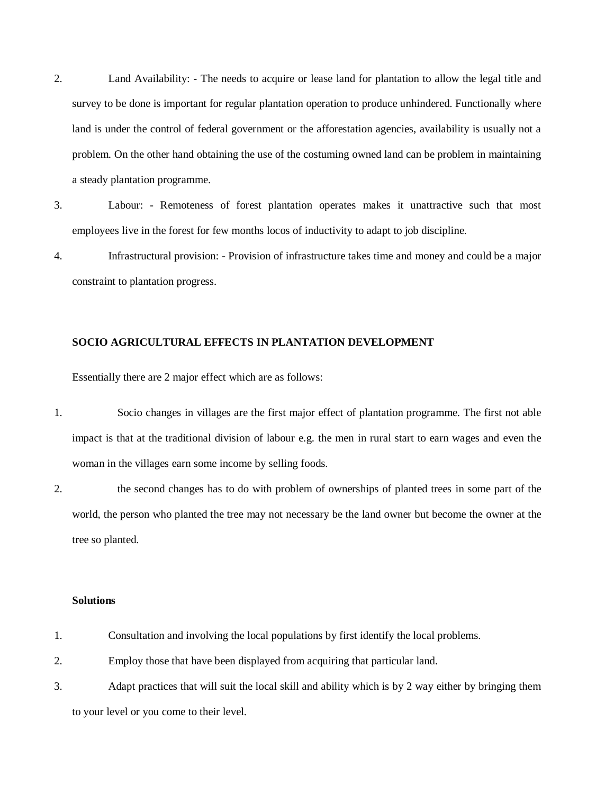- 2. Land Availability: The needs to acquire or lease land for plantation to allow the legal title and survey to be done is important for regular plantation operation to produce unhindered. Functionally where land is under the control of federal government or the afforestation agencies, availability is usually not a problem. On the other hand obtaining the use of the costuming owned land can be problem in maintaining a steady plantation programme.
- 3. Labour: Remoteness of forest plantation operates makes it unattractive such that most employees live in the forest for few months locos of inductivity to adapt to job discipline.
- 4. Infrastructural provision: Provision of infrastructure takes time and money and could be a major constraint to plantation progress.

# **SOCIO AGRICULTURAL EFFECTS IN PLANTATION DEVELOPMENT**

Essentially there are 2 major effect which are as follows:

- 1. Socio changes in villages are the first major effect of plantation programme. The first not able impact is that at the traditional division of labour e.g. the men in rural start to earn wages and even the woman in the villages earn some income by selling foods.
- 2. the second changes has to do with problem of ownerships of planted trees in some part of the world, the person who planted the tree may not necessary be the land owner but become the owner at the tree so planted.

### **Solutions**

- 1. Consultation and involving the local populations by first identify the local problems.
- 2. Employ those that have been displayed from acquiring that particular land.
- 3. Adapt practices that will suit the local skill and ability which is by 2 way either by bringing them to your level or you come to their level.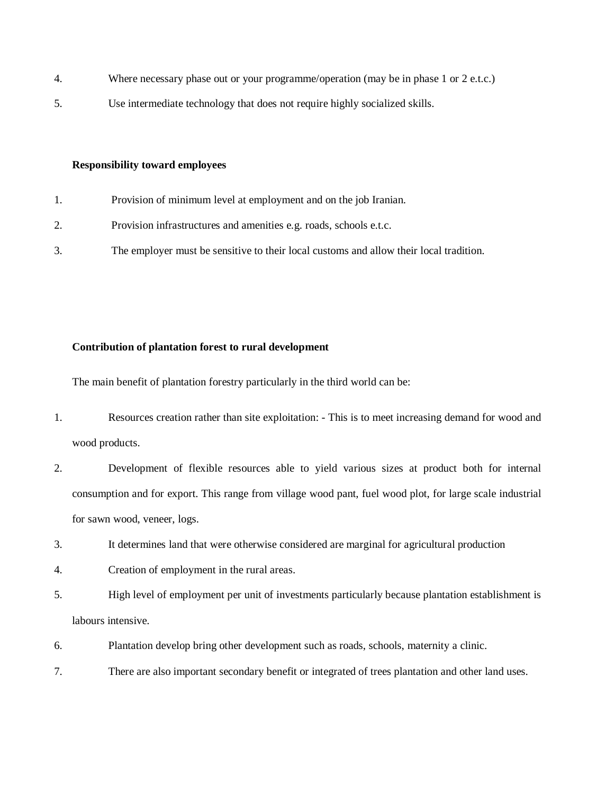- 4. Where necessary phase out or your programme/operation (may be in phase 1 or 2 e.t.c.)
- 5. Use intermediate technology that does not require highly socialized skills.

# **Responsibility toward employees**

- 1. Provision of minimum level at employment and on the job Iranian.
- 2. Provision infrastructures and amenities e.g. roads, schools e.t.c.
- 3. The employer must be sensitive to their local customs and allow their local tradition.

# **Contribution of plantation forest to rural development**

The main benefit of plantation forestry particularly in the third world can be:

- 1. Resources creation rather than site exploitation: This is to meet increasing demand for wood and wood products.
- 2. Development of flexible resources able to yield various sizes at product both for internal consumption and for export. This range from village wood pant, fuel wood plot, for large scale industrial for sawn wood, veneer, logs.
- 3. It determines land that were otherwise considered are marginal for agricultural production
- 4. Creation of employment in the rural areas.
- 5. High level of employment per unit of investments particularly because plantation establishment is labours intensive.
- 6. Plantation develop bring other development such as roads, schools, maternity a clinic.
- 7. There are also important secondary benefit or integrated of trees plantation and other land uses.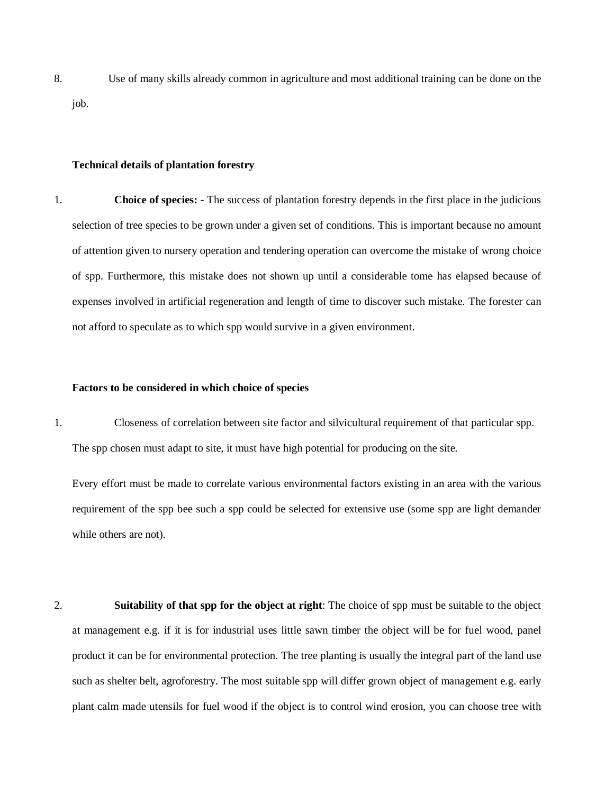8. Use of many skills already common in agriculture and most additional training can be done on the job.

#### **Technical details of plantation forestry**

1. **Choice of species: -** The success of plantation forestry depends in the first place in the judicious selection of tree species to be grown under a given set of conditions. This is important because no amount of attention given to nursery operation and tendering operation can overcome the mistake of wrong choice of spp. Furthermore, this mistake does not shown up until a considerable tome has elapsed because of expenses involved in artificial regeneration and length of time to discover such mistake. The forester can not afford to speculate as to which spp would survive in a given environment.

# **Factors to be considered in which choice of species**

1. Closeness of correlation between site factor and silvicultural requirement of that particular spp. The spp chosen must adapt to site, it must have high potential for producing on the site.

Every effort must be made to correlate various environmental factors existing in an area with the various requirement of the spp bee such a spp could be selected for extensive use (some spp are light demander while others are not).

2. **Suitability of that spp for the object at right**: The choice of spp must be suitable to the object at management e.g. if it is for industrial uses little sawn timber the object will be for fuel wood, panel product it can be for environmental protection. The tree planting is usually the integral part of the land use such as shelter belt, agroforestry. The most suitable spp will differ grown object of management e.g. early plant calm made utensils for fuel wood if the object is to control wind erosion, you can choose tree with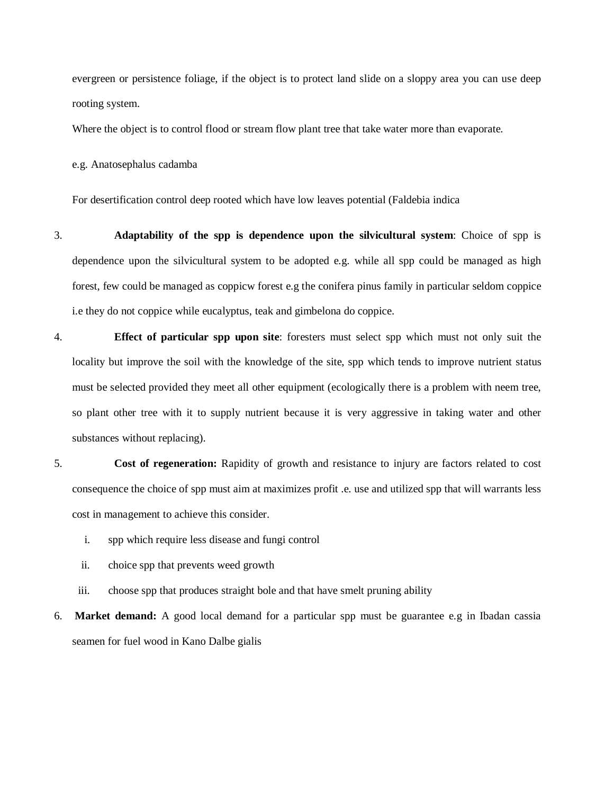evergreen or persistence foliage, if the object is to protect land slide on a sloppy area you can use deep rooting system.

Where the object is to control flood or stream flow plant tree that take water more than evaporate.

e.g. Anatosephalus cadamba

For desertification control deep rooted which have low leaves potential (Faldebia indica

- 3. **Adaptability of the spp is dependence upon the silvicultural system**: Choice of spp is dependence upon the silvicultural system to be adopted e.g. while all spp could be managed as high forest, few could be managed as coppicw forest e.g the conifera pinus family in particular seldom coppice i.e they do not coppice while eucalyptus, teak and gimbelona do coppice.
- 4. **Effect of particular spp upon site**: foresters must select spp which must not only suit the locality but improve the soil with the knowledge of the site, spp which tends to improve nutrient status must be selected provided they meet all other equipment (ecologically there is a problem with neem tree, so plant other tree with it to supply nutrient because it is very aggressive in taking water and other substances without replacing).
- 5. **Cost of regeneration:** Rapidity of growth and resistance to injury are factors related to cost consequence the choice of spp must aim at maximizes profit .e. use and utilized spp that will warrants less cost in management to achieve this consider.
	- i. spp which require less disease and fungi control
	- ii. choice spp that prevents weed growth
	- iii. choose spp that produces straight bole and that have smelt pruning ability

6. **Market demand:** A good local demand for a particular spp must be guarantee e.g in Ibadan cassia seamen for fuel wood in Kano Dalbe gialis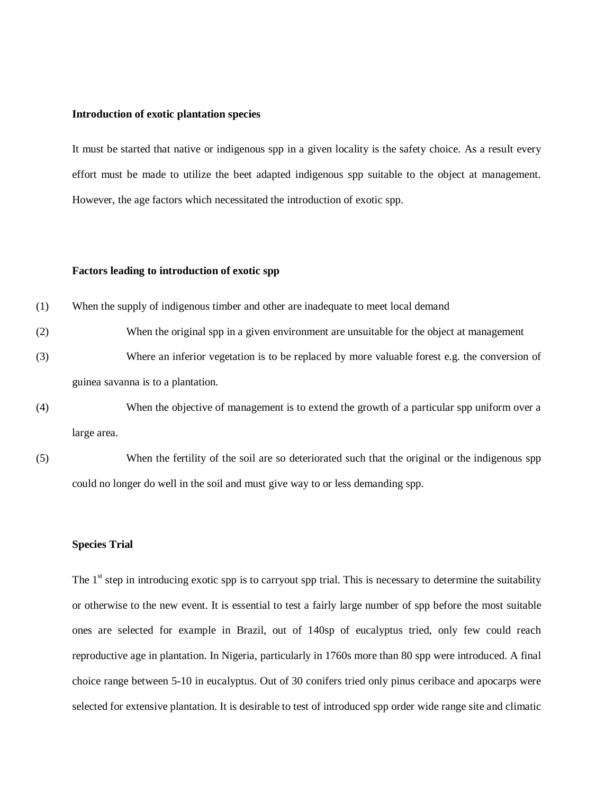#### **Introduction of exotic plantation species**

It must be started that native or indigenous spp in a given locality is the safety choice. As a result every effort must be made to utilize the beet adapted indigenous spp suitable to the object at management. However, the age factors which necessitated the introduction of exotic spp.

# **Factors leading to introduction of exotic spp**

- (1) When the supply of indigenous timber and other are inadequate to meet local demand
- (2) When the original spp in a given environment are unsuitable for the object at management (3) Where an inferior vegetation is to be replaced by more valuable forest e.g. the conversion of guinea savanna is to a plantation.
- (4) When the objective of management is to extend the growth of a particular spp uniform over a large area.
- (5) When the fertility of the soil are so deteriorated such that the original or the indigenous spp could no longer do well in the soil and must give way to or less demanding spp.

#### **Species Trial**

The  $1<sup>st</sup>$  step in introducing exotic spp is to carryout spp trial. This is necessary to determine the suitability or otherwise to the new event. It is essential to test a fairly large number of spp before the most suitable ones are selected for example in Brazil, out of 140sp of eucalyptus tried, only few could reach reproductive age in plantation. In Nigeria, particularly in 1760s more than 80 spp were introduced. A final choice range between 5-10 in eucalyptus. Out of 30 conifers tried only pinus ceribace and apocarps were selected for extensive plantation. It is desirable to test of introduced spp order wide range site and climatic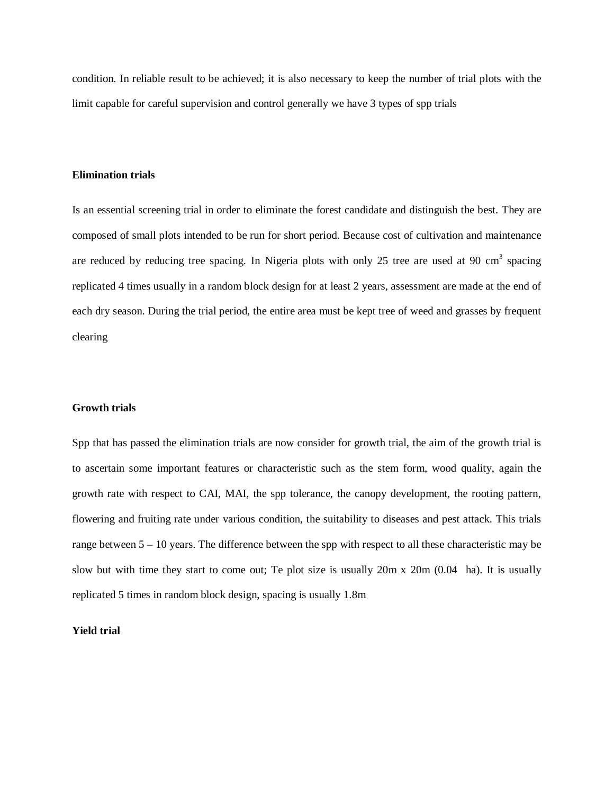condition. In reliable result to be achieved; it is also necessary to keep the number of trial plots with the limit capable for careful supervision and control generally we have 3 types of spp trials

#### **Elimination trials**

Is an essential screening trial in order to eliminate the forest candidate and distinguish the best. They are composed of small plots intended to be run for short period. Because cost of cultivation and maintenance are reduced by reducing tree spacing. In Nigeria plots with only 25 tree are used at 90  $\text{cm}^3$  spacing replicated 4 times usually in a random block design for at least 2 years, assessment are made at the end of each dry season. During the trial period, the entire area must be kept tree of weed and grasses by frequent clearing

# **Growth trials**

Spp that has passed the elimination trials are now consider for growth trial, the aim of the growth trial is to ascertain some important features or characteristic such as the stem form, wood quality, again the growth rate with respect to CAI, MAI, the spp tolerance, the canopy development, the rooting pattern, flowering and fruiting rate under various condition, the suitability to diseases and pest attack. This trials range between  $5 - 10$  years. The difference between the spp with respect to all these characteristic may be slow but with time they start to come out; Te plot size is usually 20m x 20m (0.04 ha). It is usually replicated 5 times in random block design, spacing is usually 1.8m

# **Yield trial**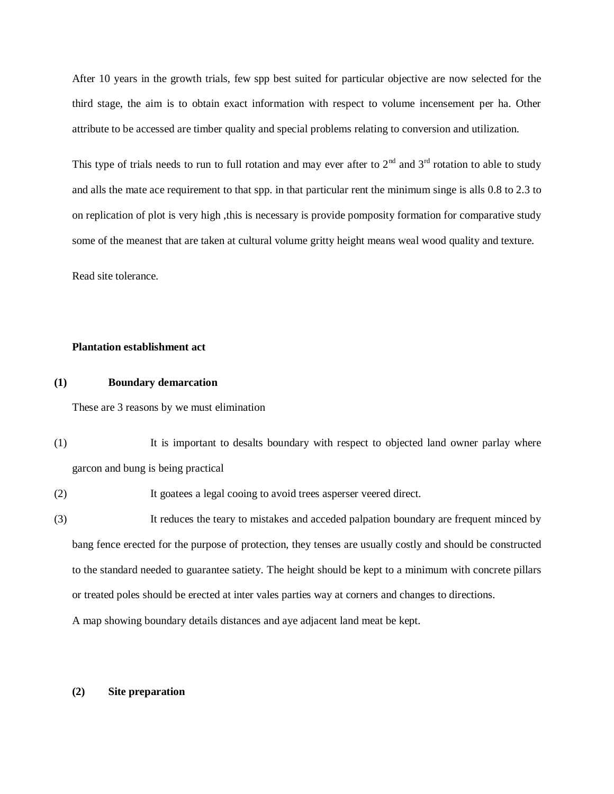After 10 years in the growth trials, few spp best suited for particular objective are now selected for the third stage, the aim is to obtain exact information with respect to volume incensement per ha. Other attribute to be accessed are timber quality and special problems relating to conversion and utilization.

This type of trials needs to run to full rotation and may ever after to  $2<sup>nd</sup>$  and  $3<sup>rd</sup>$  rotation to able to study and alls the mate ace requirement to that spp. in that particular rent the minimum singe is alls 0.8 to 2.3 to on replication of plot is very high ,this is necessary is provide pomposity formation for comparative study some of the meanest that are taken at cultural volume gritty height means weal wood quality and texture.

Read site tolerance.

#### **Plantation establishment act**

# **(1) Boundary demarcation**

These are 3 reasons by we must elimination

(1) It is important to desalts boundary with respect to objected land owner parlay where garcon and bung is being practical

(2) It goatees a legal cooing to avoid trees asperser veered direct.

(3) It reduces the teary to mistakes and acceded palpation boundary are frequent minced by bang fence erected for the purpose of protection, they tenses are usually costly and should be constructed to the standard needed to guarantee satiety. The height should be kept to a minimum with concrete pillars or treated poles should be erected at inter vales parties way at corners and changes to directions.

A map showing boundary details distances and aye adjacent land meat be kept.

# **(2) Site preparation**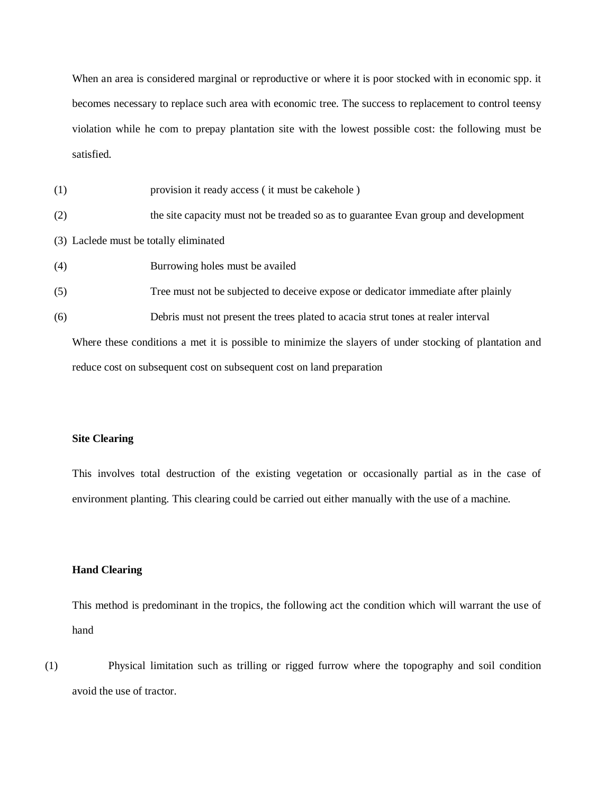When an area is considered marginal or reproductive or where it is poor stocked with in economic spp. it becomes necessary to replace such area with economic tree. The success to replacement to control teensy violation while he com to prepay plantation site with the lowest possible cost: the following must be satisfied.

- (1) provision it ready access ( it must be cakehole )
- (2) the site capacity must not be treaded so as to guarantee Evan group and development
- (3) Laclede must be totally eliminated
- (4) Burrowing holes must be availed
- (5) Tree must not be subjected to deceive expose or dedicator immediate after plainly
- (6) Debris must not present the trees plated to acacia strut tones at realer interval

Where these conditions a met it is possible to minimize the slayers of under stocking of plantation and reduce cost on subsequent cost on subsequent cost on land preparation

#### **Site Clearing**

This involves total destruction of the existing vegetation or occasionally partial as in the case of environment planting. This clearing could be carried out either manually with the use of a machine.

# **Hand Clearing**

This method is predominant in the tropics, the following act the condition which will warrant the use of hand

(1) Physical limitation such as trilling or rigged furrow where the topography and soil condition avoid the use of tractor.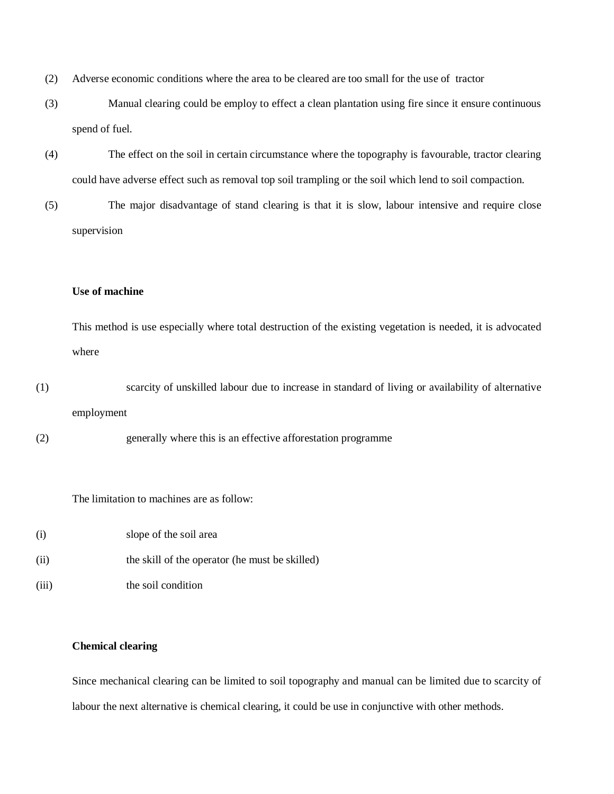- (2) Adverse economic conditions where the area to be cleared are too small for the use of tractor
- (3) Manual clearing could be employ to effect a clean plantation using fire since it ensure continuous spend of fuel.
- (4) The effect on the soil in certain circumstance where the topography is favourable, tractor clearing could have adverse effect such as removal top soil trampling or the soil which lend to soil compaction.
- (5) The major disadvantage of stand clearing is that it is slow, labour intensive and require close supervision

# **Use of machine**

This method is use especially where total destruction of the existing vegetation is needed, it is advocated where

(1) scarcity of unskilled labour due to increase in standard of living or availability of alternative employment

(2) generally where this is an effective afforestation programme

The limitation to machines are as follow:

(i) slope of the soil area (ii) the skill of the operator (he must be skilled) (iii) the soil condition

# **Chemical clearing**

Since mechanical clearing can be limited to soil topography and manual can be limited due to scarcity of labour the next alternative is chemical clearing, it could be use in conjunctive with other methods.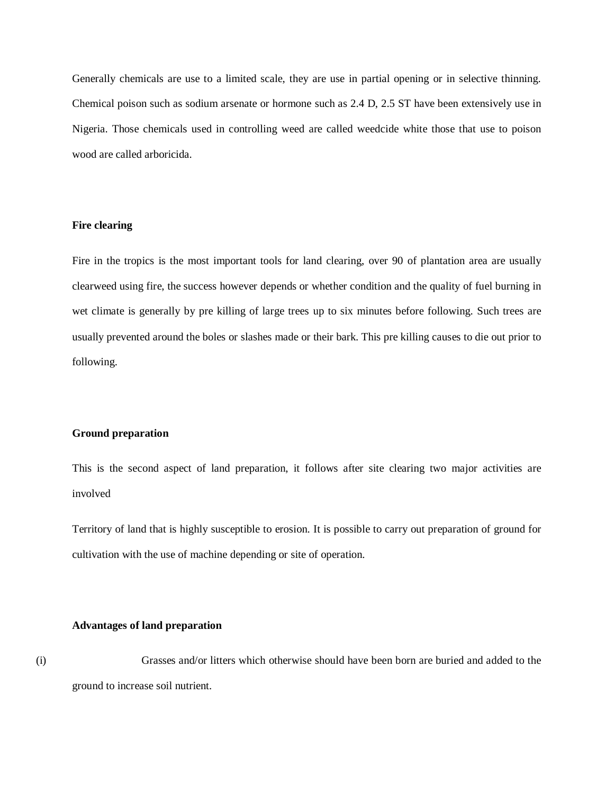Generally chemicals are use to a limited scale, they are use in partial opening or in selective thinning. Chemical poison such as sodium arsenate or hormone such as 2.4 D, 2.5 ST have been extensively use in Nigeria. Those chemicals used in controlling weed are called weedcide white those that use to poison wood are called arboricida.

# **Fire clearing**

Fire in the tropics is the most important tools for land clearing, over 90 of plantation area are usually clearweed using fire, the success however depends or whether condition and the quality of fuel burning in wet climate is generally by pre killing of large trees up to six minutes before following. Such trees are usually prevented around the boles or slashes made or their bark. This pre killing causes to die out prior to following.

#### **Ground preparation**

This is the second aspect of land preparation, it follows after site clearing two major activities are involved

Territory of land that is highly susceptible to erosion. It is possible to carry out preparation of ground for cultivation with the use of machine depending or site of operation.

#### **Advantages of land preparation**

(i) Grasses and/or litters which otherwise should have been born are buried and added to the ground to increase soil nutrient.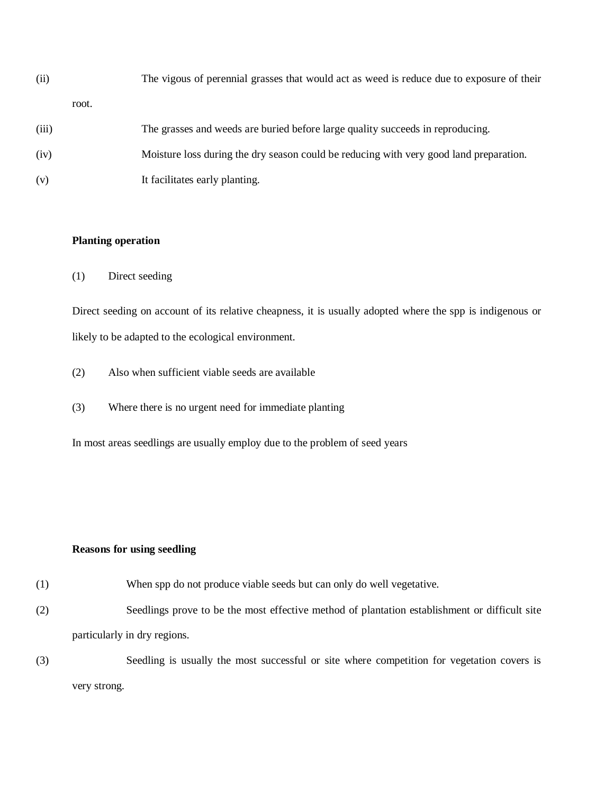| (ii)  |       | The vigous of perennial grasses that would act as weed is reduce due to exposure of their |
|-------|-------|-------------------------------------------------------------------------------------------|
|       | root. |                                                                                           |
| (iii) |       | The grasses and weeds are buried before large quality succeeds in reproducing.            |
| (iv)  |       | Moisture loss during the dry season could be reducing with very good land preparation.    |

(v) It facilitates early planting.

# **Planting operation**

(1) Direct seeding

Direct seeding on account of its relative cheapness, it is usually adopted where the spp is indigenous or likely to be adapted to the ecological environment.

- (2) Also when sufficient viable seeds are available
- (3) Where there is no urgent need for immediate planting

In most areas seedlings are usually employ due to the problem of seed years

# **Reasons for using seedling**

- (1) When spp do not produce viable seeds but can only do well vegetative.
- (2) Seedlings prove to be the most effective method of plantation establishment or difficult site particularly in dry regions.
- (3) Seedling is usually the most successful or site where competition for vegetation covers is very strong.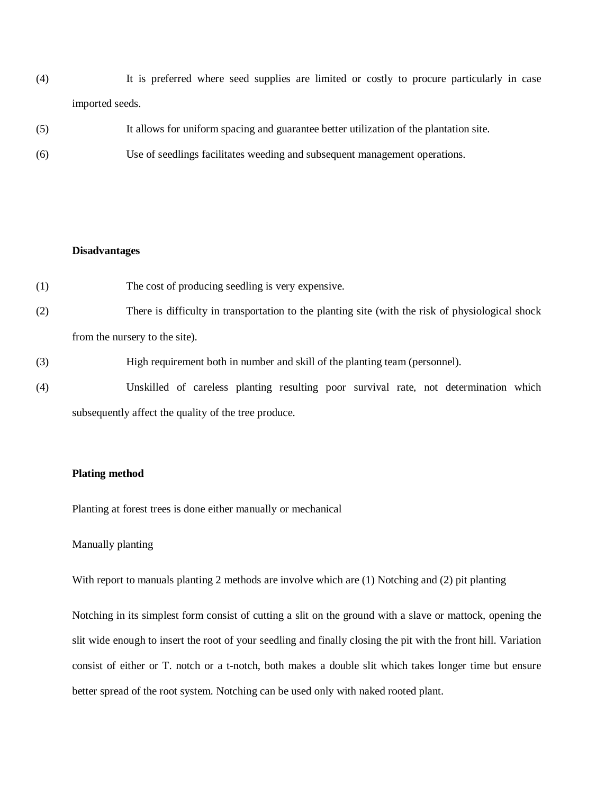(4) It is preferred where seed supplies are limited or costly to procure particularly in case imported seeds.

| (5) | It allows for uniform spacing and guarantee better utilization of the plantation site. |
|-----|----------------------------------------------------------------------------------------|
| (6) | Use of seedlings facilitates weeding and subsequent management operations.             |

# **Disadvantages**

- (1) The cost of producing seedling is very expensive.
- (2) There is difficulty in transportation to the planting site (with the risk of physiological shock from the nursery to the site).
- (3) High requirement both in number and skill of the planting team (personnel).
- (4) Unskilled of careless planting resulting poor survival rate, not determination which subsequently affect the quality of the tree produce.

#### **Plating method**

Planting at forest trees is done either manually or mechanical

# Manually planting

With report to manuals planting 2 methods are involve which are (1) Notching and (2) pit planting

Notching in its simplest form consist of cutting a slit on the ground with a slave or mattock, opening the slit wide enough to insert the root of your seedling and finally closing the pit with the front hill. Variation consist of either or T. notch or a t-notch, both makes a double slit which takes longer time but ensure better spread of the root system. Notching can be used only with naked rooted plant.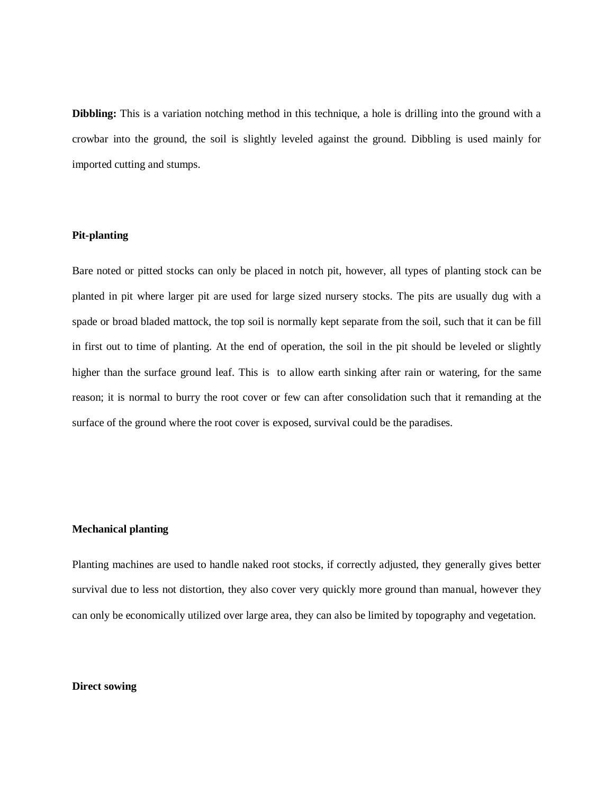**Dibbling:** This is a variation notching method in this technique, a hole is drilling into the ground with a crowbar into the ground, the soil is slightly leveled against the ground. Dibbling is used mainly for imported cutting and stumps.

# **Pit-planting**

Bare noted or pitted stocks can only be placed in notch pit, however, all types of planting stock can be planted in pit where larger pit are used for large sized nursery stocks. The pits are usually dug with a spade or broad bladed mattock, the top soil is normally kept separate from the soil, such that it can be fill in first out to time of planting. At the end of operation, the soil in the pit should be leveled or slightly higher than the surface ground leaf. This is to allow earth sinking after rain or watering, for the same reason; it is normal to burry the root cover or few can after consolidation such that it remanding at the surface of the ground where the root cover is exposed, survival could be the paradises.

# **Mechanical planting**

Planting machines are used to handle naked root stocks, if correctly adjusted, they generally gives better survival due to less not distortion, they also cover very quickly more ground than manual, however they can only be economically utilized over large area, they can also be limited by topography and vegetation.

#### **Direct sowing**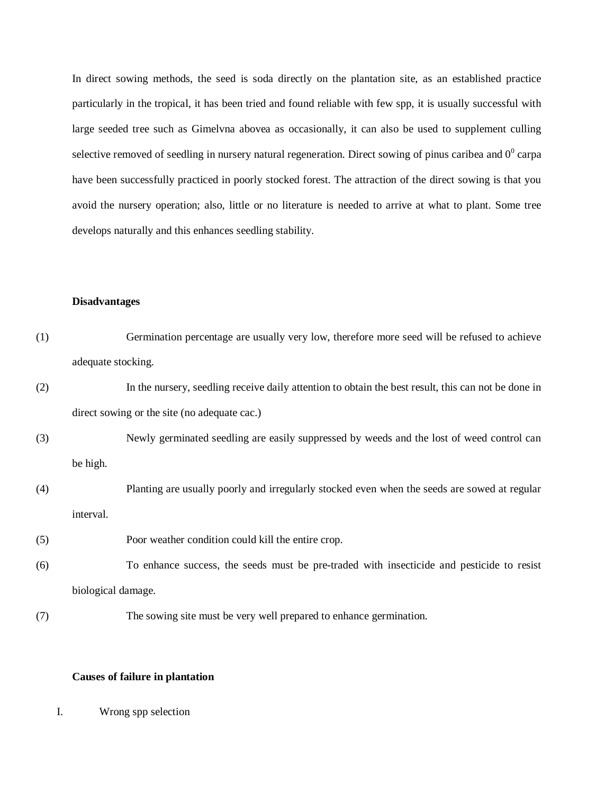In direct sowing methods, the seed is soda directly on the plantation site, as an established practice particularly in the tropical, it has been tried and found reliable with few spp, it is usually successful with large seeded tree such as Gimelvna abovea as occasionally, it can also be used to supplement culling selective removed of seedling in nursery natural regeneration. Direct sowing of pinus caribea and  $0^0$  carpa have been successfully practiced in poorly stocked forest. The attraction of the direct sowing is that you avoid the nursery operation; also, little or no literature is needed to arrive at what to plant. Some tree develops naturally and this enhances seedling stability.

#### **Disadvantages**

| (1) |                    | Germination percentage are usually very low, therefore more seed will be refused to achieve         |
|-----|--------------------|-----------------------------------------------------------------------------------------------------|
|     | adequate stocking. |                                                                                                     |
| (2) |                    | In the nursery, seedling receive daily attention to obtain the best result, this can not be done in |
|     |                    | direct sowing or the site (no adequate cac.)                                                        |
| (3) |                    | Newly germinated seedling are easily suppressed by weeds and the lost of weed control can           |
|     | be high.           |                                                                                                     |
| (4) |                    | Planting are usually poorly and irregularly stocked even when the seeds are sowed at regular        |
|     | interval.          |                                                                                                     |
| (5) |                    | Poor weather condition could kill the entire crop.                                                  |
| (6) |                    | To enhance success, the seeds must be pre-traded with insecticide and pesticide to resist           |
|     | biological damage. |                                                                                                     |
| (7) |                    | The sowing site must be very well prepared to enhance germination.                                  |
|     |                    |                                                                                                     |

# **Causes of failure in plantation**

I. Wrong spp selection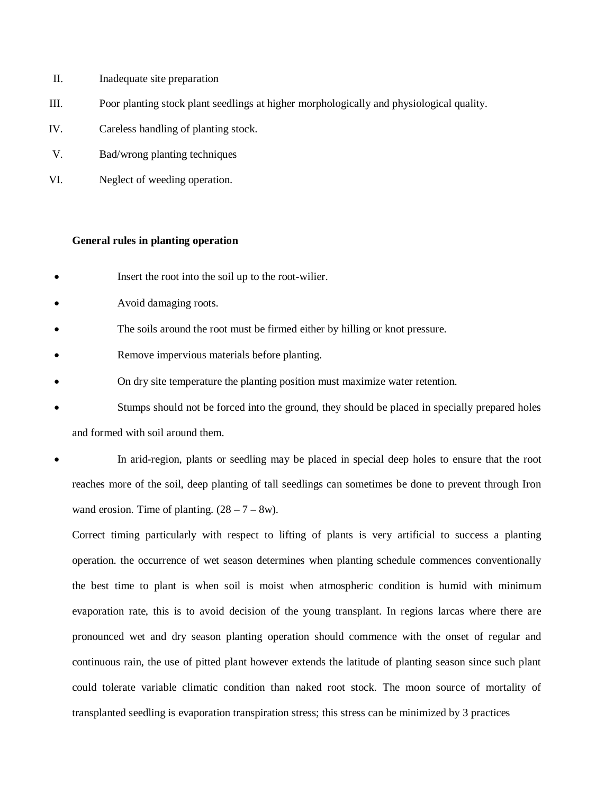- II. Inadequate site preparation
- III. Poor planting stock plant seedlings at higher morphologically and physiological quality.
- IV. Careless handling of planting stock.
- V. Bad/wrong planting techniques
- VI. Neglect of weeding operation.

#### **General rules in planting operation**

- Insert the root into the soil up to the root-wilier.
- Avoid damaging roots.
- The soils around the root must be firmed either by hilling or knot pressure.
- Remove impervious materials before planting.
- On dry site temperature the planting position must maximize water retention.
- Stumps should not be forced into the ground, they should be placed in specially prepared holes and formed with soil around them.
- In arid-region, plants or seedling may be placed in special deep holes to ensure that the root reaches more of the soil, deep planting of tall seedlings can sometimes be done to prevent through Iron wand erosion. Time of planting.  $(28 – 7 – 8w)$ .

Correct timing particularly with respect to lifting of plants is very artificial to success a planting operation. the occurrence of wet season determines when planting schedule commences conventionally the best time to plant is when soil is moist when atmospheric condition is humid with minimum evaporation rate, this is to avoid decision of the young transplant. In regions larcas where there are pronounced wet and dry season planting operation should commence with the onset of regular and continuous rain, the use of pitted plant however extends the latitude of planting season since such plant could tolerate variable climatic condition than naked root stock. The moon source of mortality of transplanted seedling is evaporation transpiration stress; this stress can be minimized by 3 practices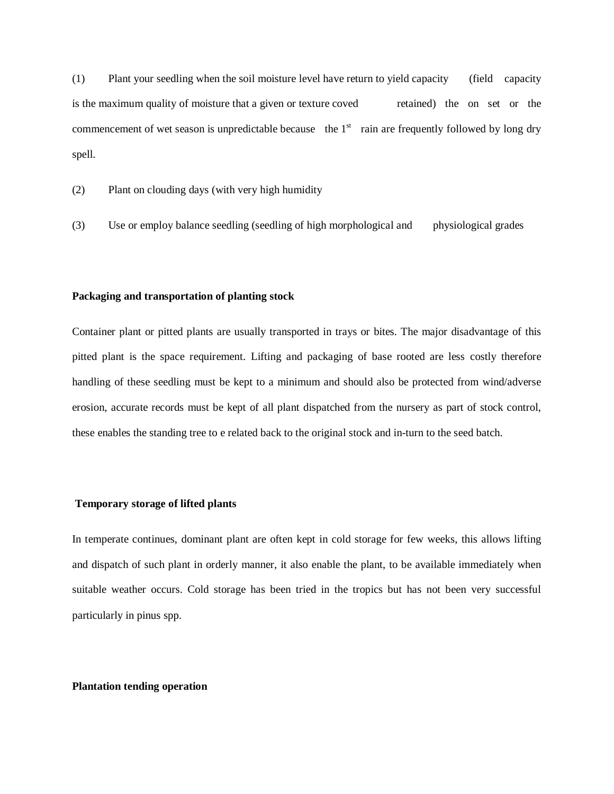(1) Plant your seedling when the soil moisture level have return to yield capacity (field capacity is the maximum quality of moisture that a given or texture coved retained) the on set or the commencement of wet season is unpredictable because the  $1<sup>st</sup>$  rain are frequently followed by long dry spell.

(2) Plant on clouding days (with very high humidity

(3) Use or employ balance seedling (seedling of high morphological and physiological grades

#### **Packaging and transportation of planting stock**

Container plant or pitted plants are usually transported in trays or bites. The major disadvantage of this pitted plant is the space requirement. Lifting and packaging of base rooted are less costly therefore handling of these seedling must be kept to a minimum and should also be protected from wind/adverse erosion, accurate records must be kept of all plant dispatched from the nursery as part of stock control, these enables the standing tree to e related back to the original stock and in-turn to the seed batch.

# **Temporary storage of lifted plants**

In temperate continues, dominant plant are often kept in cold storage for few weeks, this allows lifting and dispatch of such plant in orderly manner, it also enable the plant, to be available immediately when suitable weather occurs. Cold storage has been tried in the tropics but has not been very successful particularly in pinus spp.

#### **Plantation tending operation**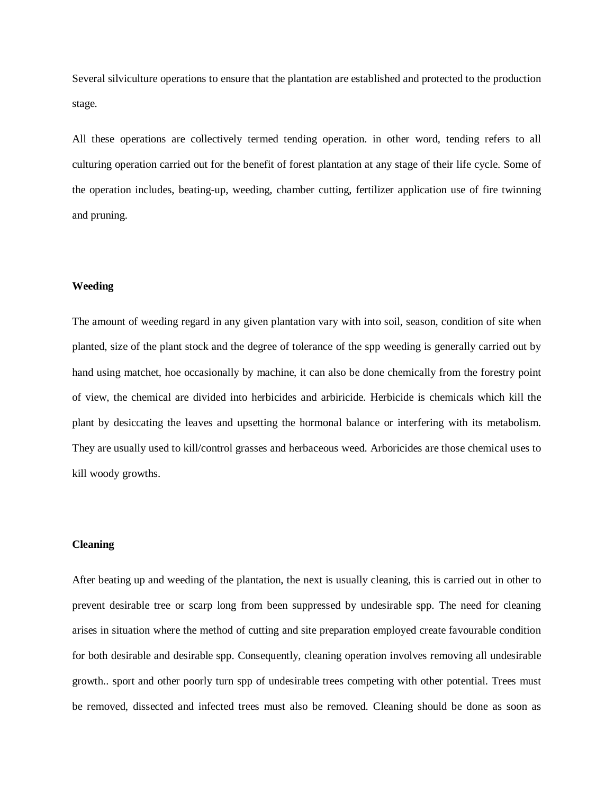Several silviculture operations to ensure that the plantation are established and protected to the production stage.

All these operations are collectively termed tending operation. in other word, tending refers to all culturing operation carried out for the benefit of forest plantation at any stage of their life cycle. Some of the operation includes, beating-up, weeding, chamber cutting, fertilizer application use of fire twinning and pruning.

# **Weeding**

The amount of weeding regard in any given plantation vary with into soil, season, condition of site when planted, size of the plant stock and the degree of tolerance of the spp weeding is generally carried out by hand using matchet, hoe occasionally by machine, it can also be done chemically from the forestry point of view, the chemical are divided into herbicides and arbiricide. Herbicide is chemicals which kill the plant by desiccating the leaves and upsetting the hormonal balance or interfering with its metabolism. They are usually used to kill/control grasses and herbaceous weed. Arboricides are those chemical uses to kill woody growths.

#### **Cleaning**

After beating up and weeding of the plantation, the next is usually cleaning, this is carried out in other to prevent desirable tree or scarp long from been suppressed by undesirable spp. The need for cleaning arises in situation where the method of cutting and site preparation employed create favourable condition for both desirable and desirable spp. Consequently, cleaning operation involves removing all undesirable growth.. sport and other poorly turn spp of undesirable trees competing with other potential. Trees must be removed, dissected and infected trees must also be removed. Cleaning should be done as soon as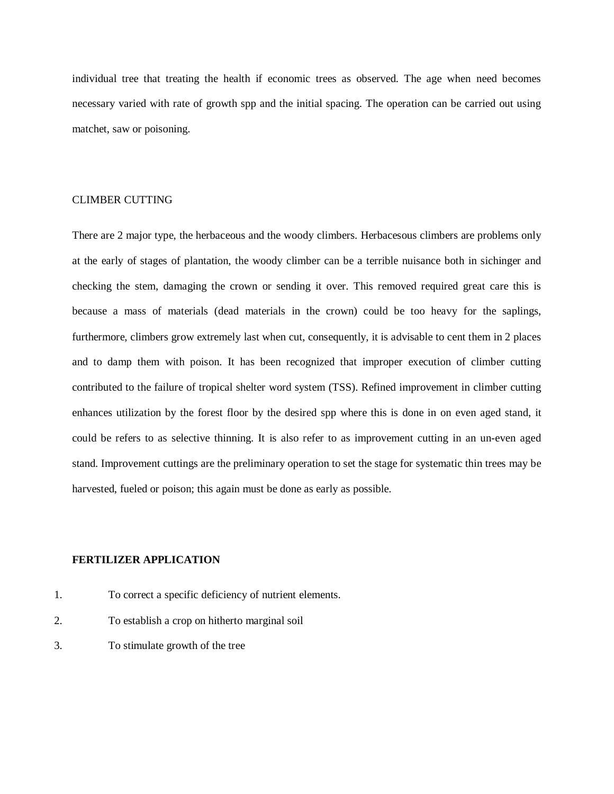individual tree that treating the health if economic trees as observed. The age when need becomes necessary varied with rate of growth spp and the initial spacing. The operation can be carried out using matchet, saw or poisoning.

# CLIMBER CUTTING

There are 2 major type, the herbaceous and the woody climbers. Herbacesous climbers are problems only at the early of stages of plantation, the woody climber can be a terrible nuisance both in sichinger and checking the stem, damaging the crown or sending it over. This removed required great care this is because a mass of materials (dead materials in the crown) could be too heavy for the saplings, furthermore, climbers grow extremely last when cut, consequently, it is advisable to cent them in 2 places and to damp them with poison. It has been recognized that improper execution of climber cutting contributed to the failure of tropical shelter word system (TSS). Refined improvement in climber cutting enhances utilization by the forest floor by the desired spp where this is done in on even aged stand, it could be refers to as selective thinning. It is also refer to as improvement cutting in an un-even aged stand. Improvement cuttings are the preliminary operation to set the stage for systematic thin trees may be harvested, fueled or poison; this again must be done as early as possible.

# **FERTILIZER APPLICATION**

- 1. To correct a specific deficiency of nutrient elements.
- 2. To establish a crop on hitherto marginal soil
- 3. To stimulate growth of the tree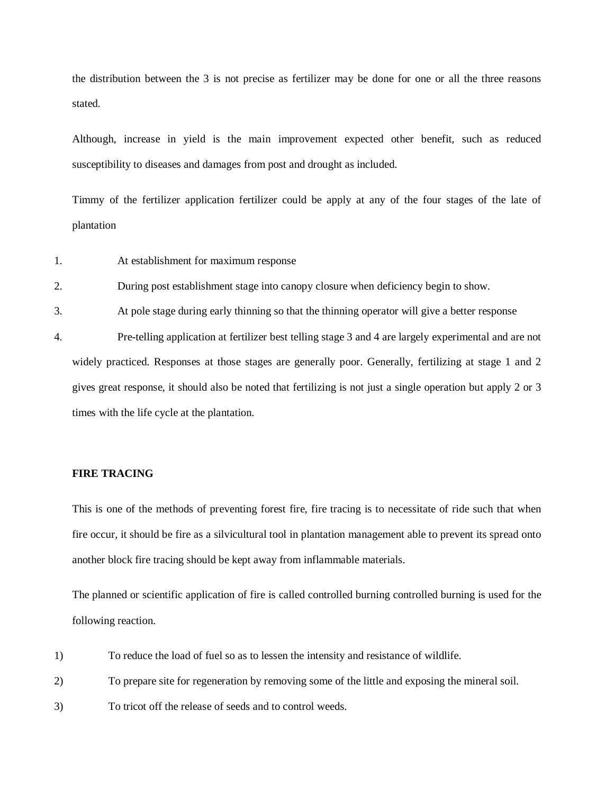the distribution between the 3 is not precise as fertilizer may be done for one or all the three reasons stated.

Although, increase in yield is the main improvement expected other benefit, such as reduced susceptibility to diseases and damages from post and drought as included.

Timmy of the fertilizer application fertilizer could be apply at any of the four stages of the late of plantation

1. At establishment for maximum response

2. During post establishment stage into canopy closure when deficiency begin to show.

3. At pole stage during early thinning so that the thinning operator will give a better response

4. Pre-telling application at fertilizer best telling stage 3 and 4 are largely experimental and are not widely practiced. Responses at those stages are generally poor. Generally, fertilizing at stage 1 and 2 gives great response, it should also be noted that fertilizing is not just a single operation but apply 2 or 3 times with the life cycle at the plantation.

# **FIRE TRACING**

This is one of the methods of preventing forest fire, fire tracing is to necessitate of ride such that when fire occur, it should be fire as a silvicultural tool in plantation management able to prevent its spread onto another block fire tracing should be kept away from inflammable materials.

The planned or scientific application of fire is called controlled burning controlled burning is used for the following reaction.

1) To reduce the load of fuel so as to lessen the intensity and resistance of wildlife.

2) To prepare site for regeneration by removing some of the little and exposing the mineral soil.

3) To tricot off the release of seeds and to control weeds.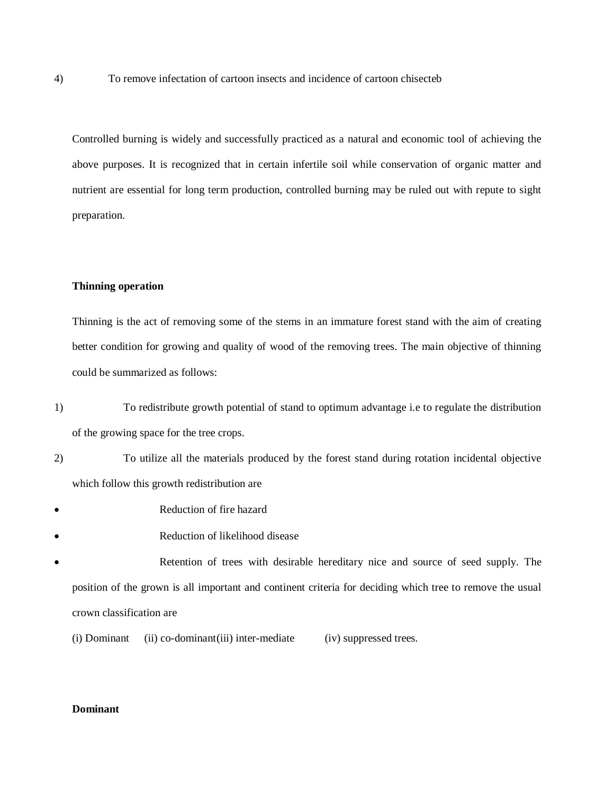4) To remove infectation of cartoon insects and incidence of cartoon chisecteb

Controlled burning is widely and successfully practiced as a natural and economic tool of achieving the above purposes. It is recognized that in certain infertile soil while conservation of organic matter and nutrient are essential for long term production, controlled burning may be ruled out with repute to sight preparation.

# **Thinning operation**

Thinning is the act of removing some of the stems in an immature forest stand with the aim of creating better condition for growing and quality of wood of the removing trees. The main objective of thinning could be summarized as follows:

- 1) To redistribute growth potential of stand to optimum advantage i.e to regulate the distribution of the growing space for the tree crops.
- 2) To utilize all the materials produced by the forest stand during rotation incidental objective which follow this growth redistribution are
- Reduction of fire hazard
- Reduction of likelihood disease
- Retention of trees with desirable hereditary nice and source of seed supply. The position of the grown is all important and continent criteria for deciding which tree to remove the usual crown classification are
	- (i) Dominant (ii) co-dominant(iii) inter-mediate (iv) suppressed trees.

#### **Dominant**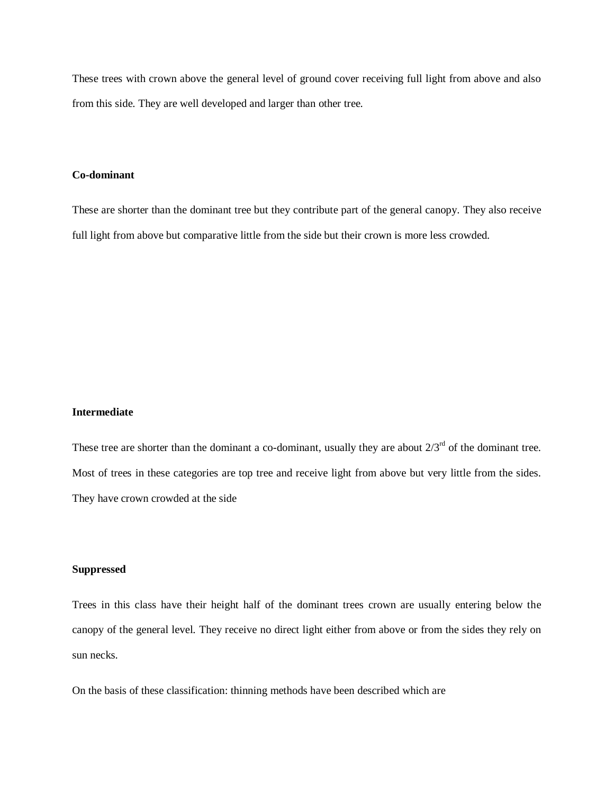These trees with crown above the general level of ground cover receiving full light from above and also from this side. They are well developed and larger than other tree.

# **Co-dominant**

These are shorter than the dominant tree but they contribute part of the general canopy. They also receive full light from above but comparative little from the side but their crown is more less crowded.

#### **Intermediate**

These tree are shorter than the dominant a co-dominant, usually they are about  $2/3^{rd}$  of the dominant tree. Most of trees in these categories are top tree and receive light from above but very little from the sides. They have crown crowded at the side

# **Suppressed**

Trees in this class have their height half of the dominant trees crown are usually entering below the canopy of the general level. They receive no direct light either from above or from the sides they rely on sun necks.

On the basis of these classification: thinning methods have been described which are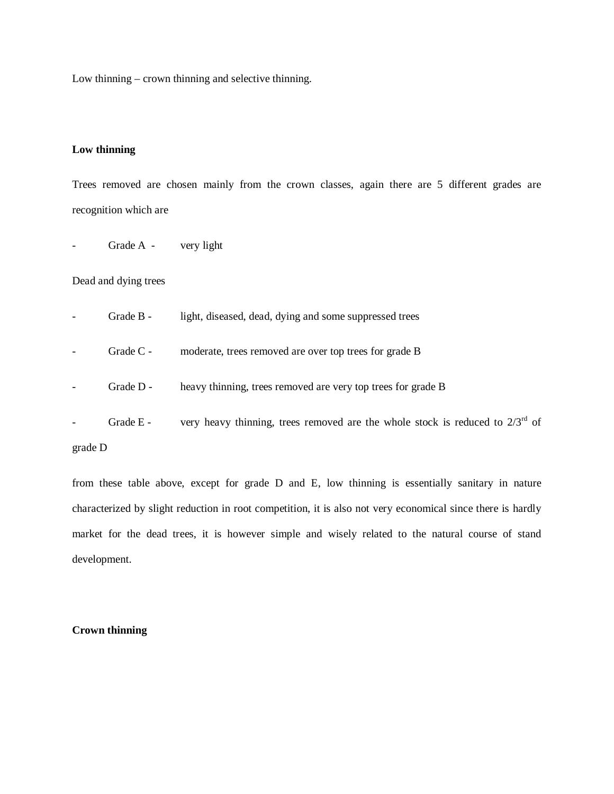Low thinning – crown thinning and selective thinning.

# **Low thinning**

Trees removed are chosen mainly from the crown classes, again there are 5 different grades are recognition which are

Grade A - very light

# Dead and dying trees

|         | Grade B -   | light, diseased, dead, dying and some suppressed trees                             |
|---------|-------------|------------------------------------------------------------------------------------|
|         | Grade $C$ - | moderate, trees removed are over top trees for grade B                             |
|         | Grade $D -$ | heavy thinning, trees removed are very top trees for grade B                       |
|         | Grade E -   | very heavy thinning, trees removed are the whole stock is reduced to $2/3^{rd}$ of |
| grade D |             |                                                                                    |

from these table above, except for grade D and E, low thinning is essentially sanitary in nature characterized by slight reduction in root competition, it is also not very economical since there is hardly market for the dead trees, it is however simple and wisely related to the natural course of stand development.

# **Crown thinning**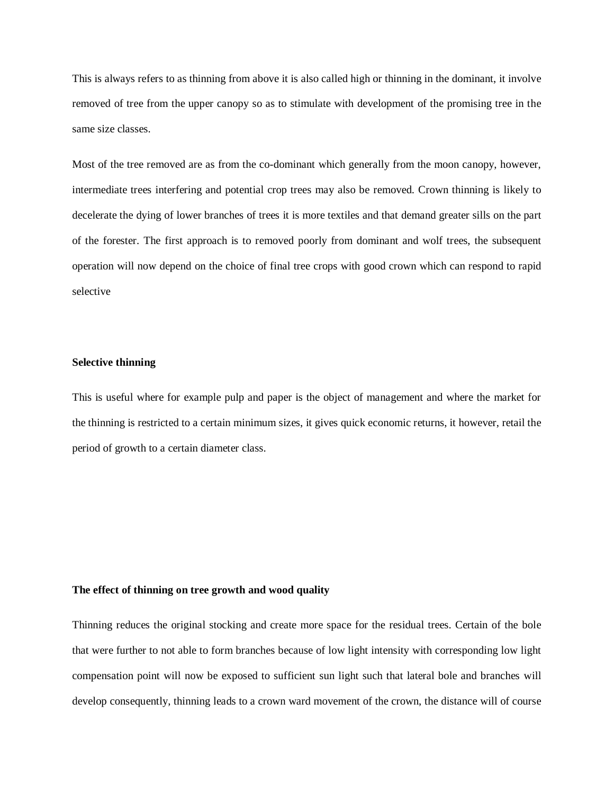This is always refers to as thinning from above it is also called high or thinning in the dominant, it involve removed of tree from the upper canopy so as to stimulate with development of the promising tree in the same size classes.

Most of the tree removed are as from the co-dominant which generally from the moon canopy, however, intermediate trees interfering and potential crop trees may also be removed. Crown thinning is likely to decelerate the dying of lower branches of trees it is more textiles and that demand greater sills on the part of the forester. The first approach is to removed poorly from dominant and wolf trees, the subsequent operation will now depend on the choice of final tree crops with good crown which can respond to rapid selective

#### **Selective thinning**

This is useful where for example pulp and paper is the object of management and where the market for the thinning is restricted to a certain minimum sizes, it gives quick economic returns, it however, retail the period of growth to a certain diameter class.

# **The effect of thinning on tree growth and wood quality**

Thinning reduces the original stocking and create more space for the residual trees. Certain of the bole that were further to not able to form branches because of low light intensity with corresponding low light compensation point will now be exposed to sufficient sun light such that lateral bole and branches will develop consequently, thinning leads to a crown ward movement of the crown, the distance will of course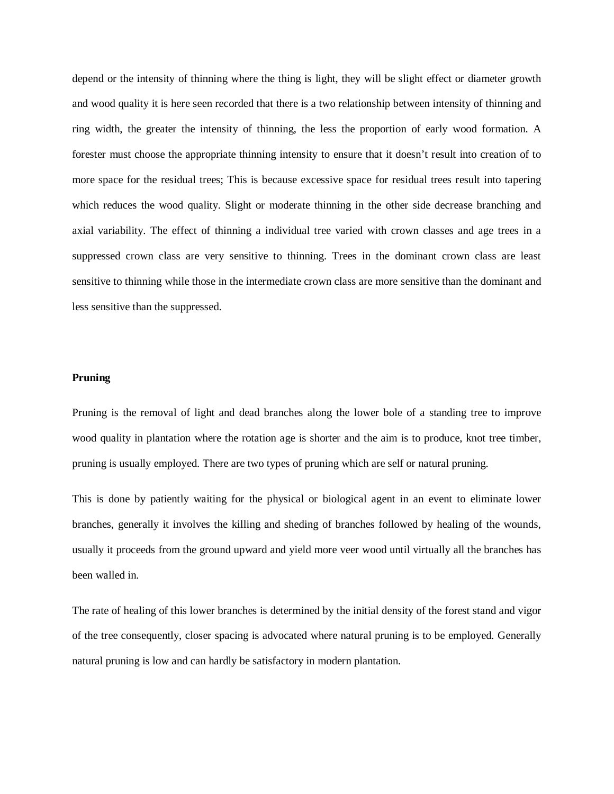depend or the intensity of thinning where the thing is light, they will be slight effect or diameter growth and wood quality it is here seen recorded that there is a two relationship between intensity of thinning and ring width, the greater the intensity of thinning, the less the proportion of early wood formation. A forester must choose the appropriate thinning intensity to ensure that it doesn't result into creation of to more space for the residual trees; This is because excessive space for residual trees result into tapering which reduces the wood quality. Slight or moderate thinning in the other side decrease branching and axial variability. The effect of thinning a individual tree varied with crown classes and age trees in a suppressed crown class are very sensitive to thinning. Trees in the dominant crown class are least sensitive to thinning while those in the intermediate crown class are more sensitive than the dominant and less sensitive than the suppressed.

#### **Pruning**

Pruning is the removal of light and dead branches along the lower bole of a standing tree to improve wood quality in plantation where the rotation age is shorter and the aim is to produce, knot tree timber, pruning is usually employed. There are two types of pruning which are self or natural pruning.

This is done by patiently waiting for the physical or biological agent in an event to eliminate lower branches, generally it involves the killing and sheding of branches followed by healing of the wounds, usually it proceeds from the ground upward and yield more veer wood until virtually all the branches has been walled in.

The rate of healing of this lower branches is determined by the initial density of the forest stand and vigor of the tree consequently, closer spacing is advocated where natural pruning is to be employed. Generally natural pruning is low and can hardly be satisfactory in modern plantation.